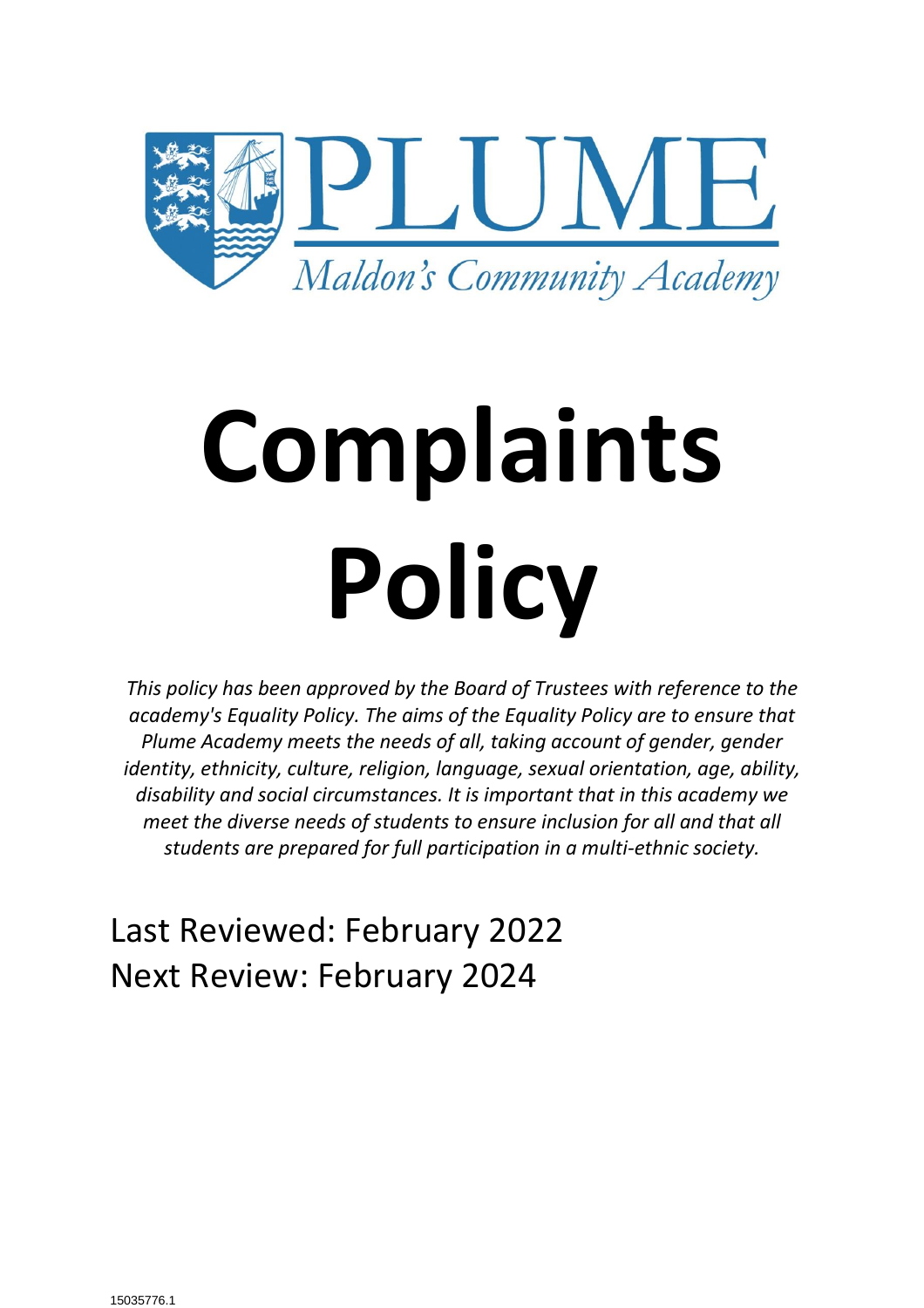

# **Complaints Policy**

*This policy has been approved by the Board of Trustees with reference to the academy's Equality Policy. The aims of the Equality Policy are to ensure that Plume Academy meets the needs of all, taking account of gender, gender identity, ethnicity, culture, religion, language, sexual orientation, age, ability, disability and social circumstances. It is important that in this academy we meet the diverse needs of students to ensure inclusion for all and that all students are prepared for full participation in a multi-ethnic society.*

Last Reviewed: February 2022 Next Review: February 2024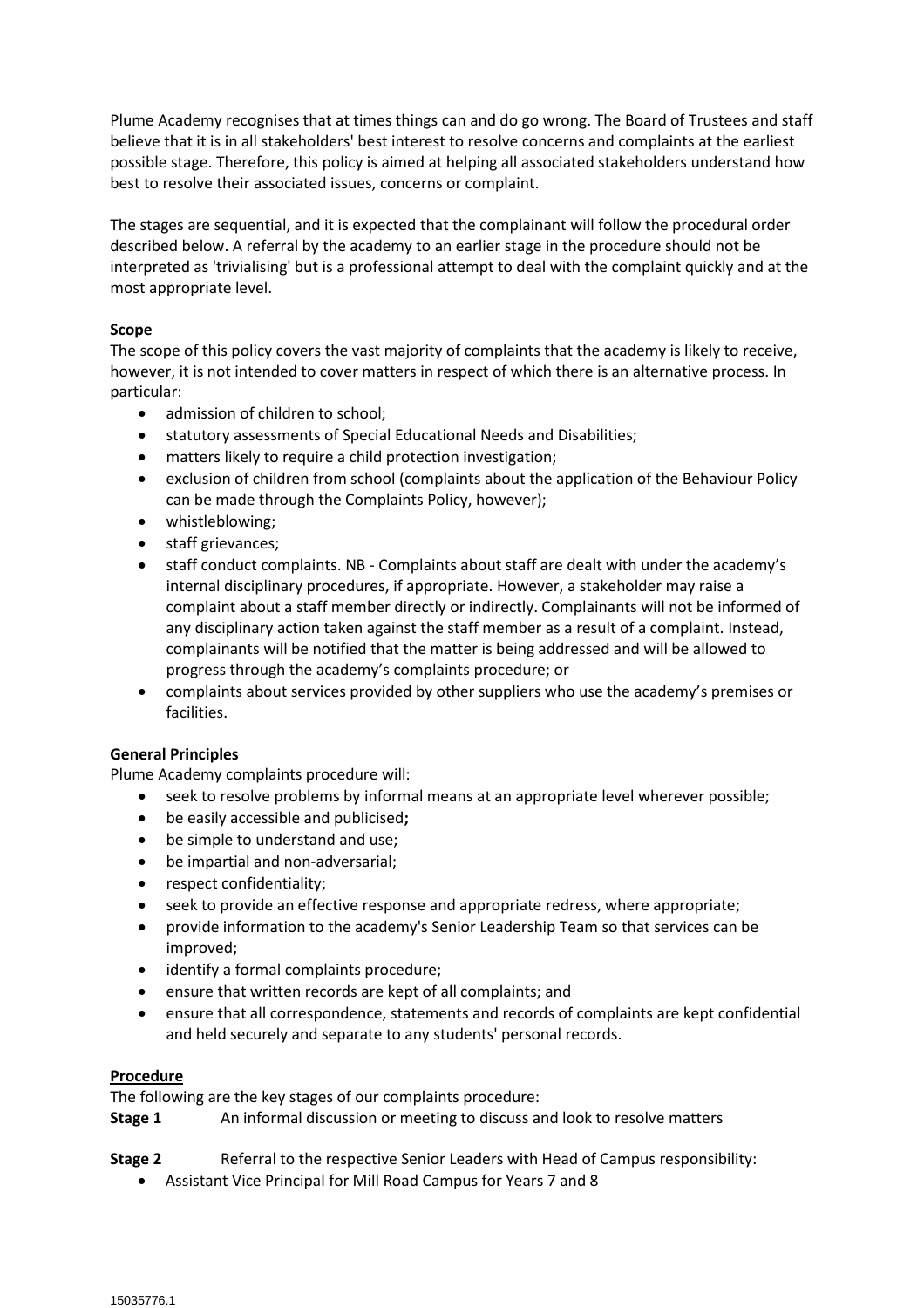Plume Academy recognises that at times things can and do go wrong. The Board of Trustees and staff believe that it is in all stakeholders' best interest to resolve concerns and complaints at the earliest possible stage. Therefore, this policy is aimed at helping all associated stakeholders understand how best to resolve their associated issues, concerns or complaint.

The stages are sequential, and it is expected that the complainant will follow the procedural order described below. A referral by the academy to an earlier stage in the procedure should not be interpreted as 'trivialising' but is a professional attempt to deal with the complaint quickly and at the most appropriate level.

# **Scope**

The scope of this policy covers the vast majority of complaints that the academy is likely to receive, however, it is not intended to cover matters in respect of which there is an alternative process. In particular:

- admission of children to school;
- statutory assessments of Special Educational Needs and Disabilities;
- matters likely to require a child protection investigation;
- exclusion of children from school (complaints about the application of the Behaviour Policy can be made through the Complaints Policy, however);
- whistleblowing;
- staff grievances;
- staff conduct complaints. NB Complaints about staff are dealt with under the academy's internal disciplinary procedures, if appropriate. However, a stakeholder may raise a complaint about a staff member directly or indirectly. Complainants will not be informed of any disciplinary action taken against the staff member as a result of a complaint. Instead, complainants will be notified that the matter is being addressed and will be allowed to progress through the academy's complaints procedure; or
- complaints about services provided by other suppliers who use the academy's premises or facilities.

# **General Principles**

Plume Academy complaints procedure will:

- seek to resolve problems by informal means at an appropriate level wherever possible;
- be easily accessible and publicised**;**
- be simple to understand and use;
- be impartial and non-adversarial;
- respect confidentiality;
- seek to provide an effective response and appropriate redress, where appropriate;
- provide information to the academy's Senior Leadership Team so that services can be improved;
- identify a formal complaints procedure;
- ensure that written records are kept of all complaints; and
- ensure that all correspondence, statements and records of complaints are kept confidential and held securely and separate to any students' personal records.

# **Procedure**

The following are the key stages of our complaints procedure:

**Stage 1** An informal discussion or meeting to discuss and look to resolve matters

**Stage 2** Referral to the respective Senior Leaders with Head of Campus responsibility:

Assistant Vice Principal for Mill Road Campus for Years 7 and 8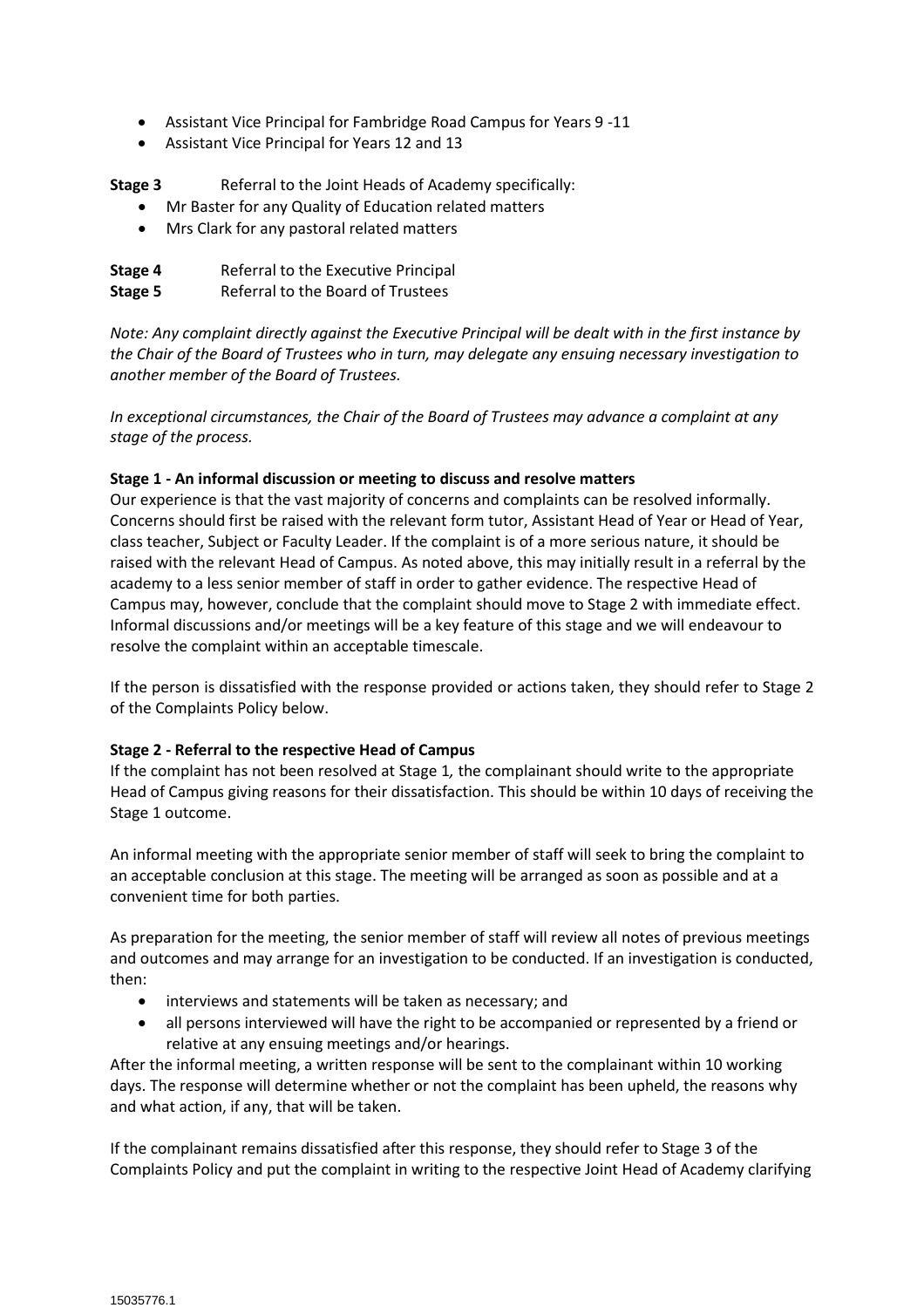- Assistant Vice Principal for Fambridge Road Campus for Years 9 -11
- Assistant Vice Principal for Years 12 and 13

**Stage 3** Referral to the Joint Heads of Academy specifically:

- Mr Baster for any Quality of Education related matters
- Mrs Clark for any pastoral related matters
- **Stage 4** Referral to the Executive Principal
- **Stage 5** Referral to the Board of Trustees

*Note: Any complaint directly against the Executive Principal will be dealt with in the first instance by the Chair of the Board of Trustees who in turn, may delegate any ensuing necessary investigation to another member of the Board of Trustees.*

*In exceptional circumstances, the Chair of the Board of Trustees may advance a complaint at any stage of the process.*

# **Stage 1 - An informal discussion or meeting to discuss and resolve matters**

Our experience is that the vast majority of concerns and complaints can be resolved informally. Concerns should first be raised with the relevant form tutor, Assistant Head of Year or Head of Year, class teacher, Subject or Faculty Leader. If the complaint is of a more serious nature, it should be raised with the relevant Head of Campus. As noted above, this may initially result in a referral by the academy to a less senior member of staff in order to gather evidence. The respective Head of Campus may, however, conclude that the complaint should move to Stage 2 with immediate effect. Informal discussions and/or meetings will be a key feature of this stage and we will endeavour to resolve the complaint within an acceptable timescale.

If the person is dissatisfied with the response provided or actions taken, they should refer to Stage 2 of the Complaints Policy below.

# **Stage 2 - Referral to the respective Head of Campus**

If the complaint has not been resolved at Stage 1*,* the complainant should write to the appropriate Head of Campus giving reasons for their dissatisfaction. This should be within 10 days of receiving the Stage 1 outcome.

An informal meeting with the appropriate senior member of staff will seek to bring the complaint to an acceptable conclusion at this stage. The meeting will be arranged as soon as possible and at a convenient time for both parties.

As preparation for the meeting, the senior member of staff will review all notes of previous meetings and outcomes and may arrange for an investigation to be conducted. If an investigation is conducted, then:

- interviews and statements will be taken as necessary; and
- all persons interviewed will have the right to be accompanied or represented by a friend or relative at any ensuing meetings and/or hearings.

After the informal meeting, a written response will be sent to the complainant within 10 working days. The response will determine whether or not the complaint has been upheld, the reasons why and what action, if any, that will be taken.

If the complainant remains dissatisfied after this response, they should refer to Stage 3 of the Complaints Policy and put the complaint in writing to the respective Joint Head of Academy clarifying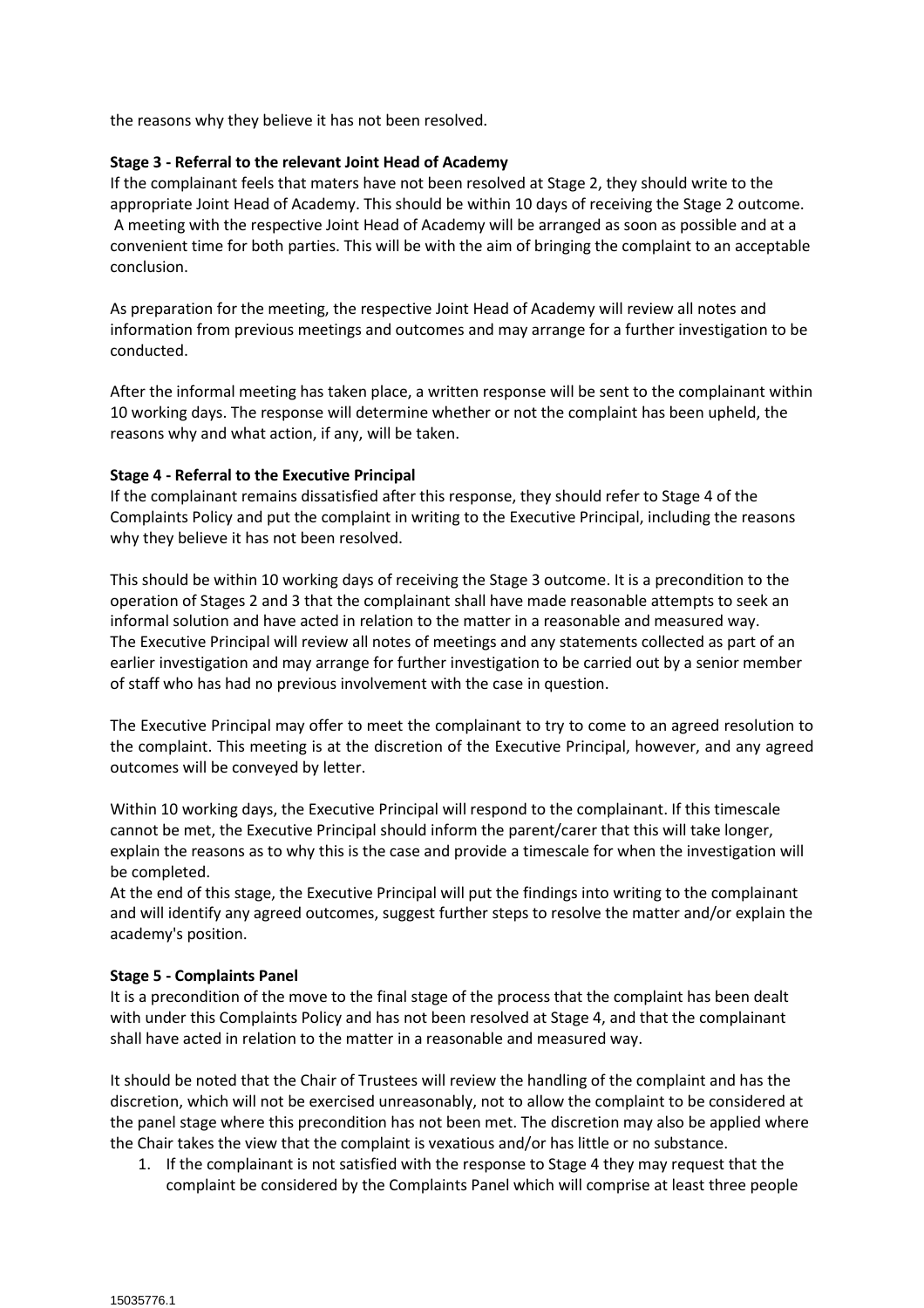the reasons why they believe it has not been resolved.

#### **Stage 3 - Referral to the relevant Joint Head of Academy**

If the complainant feels that maters have not been resolved at Stage 2, they should write to the appropriate Joint Head of Academy. This should be within 10 days of receiving the Stage 2 outcome. A meeting with the respective Joint Head of Academy will be arranged as soon as possible and at a convenient time for both parties. This will be with the aim of bringing the complaint to an acceptable conclusion.

As preparation for the meeting, the respective Joint Head of Academy will review all notes and information from previous meetings and outcomes and may arrange for a further investigation to be conducted.

After the informal meeting has taken place, a written response will be sent to the complainant within 10 working days. The response will determine whether or not the complaint has been upheld, the reasons why and what action, if any, will be taken.

#### **Stage 4 - Referral to the Executive Principal**

If the complainant remains dissatisfied after this response, they should refer to Stage 4 of the Complaints Policy and put the complaint in writing to the Executive Principal, including the reasons why they believe it has not been resolved.

This should be within 10 working days of receiving the Stage 3 outcome. It is a precondition to the operation of Stages 2 and 3 that the complainant shall have made reasonable attempts to seek an informal solution and have acted in relation to the matter in a reasonable and measured way. The Executive Principal will review all notes of meetings and any statements collected as part of an earlier investigation and may arrange for further investigation to be carried out by a senior member of staff who has had no previous involvement with the case in question.

The Executive Principal may offer to meet the complainant to try to come to an agreed resolution to the complaint. This meeting is at the discretion of the Executive Principal, however, and any agreed outcomes will be conveyed by letter.

Within 10 working days, the Executive Principal will respond to the complainant. If this timescale cannot be met, the Executive Principal should inform the parent/carer that this will take longer, explain the reasons as to why this is the case and provide a timescale for when the investigation will be completed.

At the end of this stage, the Executive Principal will put the findings into writing to the complainant and will identify any agreed outcomes, suggest further steps to resolve the matter and/or explain the academy's position.

#### **Stage 5 - Complaints Panel**

It is a precondition of the move to the final stage of the process that the complaint has been dealt with under this Complaints Policy and has not been resolved at Stage 4, and that the complainant shall have acted in relation to the matter in a reasonable and measured way.

It should be noted that the Chair of Trustees will review the handling of the complaint and has the discretion, which will not be exercised unreasonably, not to allow the complaint to be considered at the panel stage where this precondition has not been met. The discretion may also be applied where the Chair takes the view that the complaint is vexatious and/or has little or no substance.

1. If the complainant is not satisfied with the response to Stage 4 they may request that the complaint be considered by the Complaints Panel which will comprise at least three people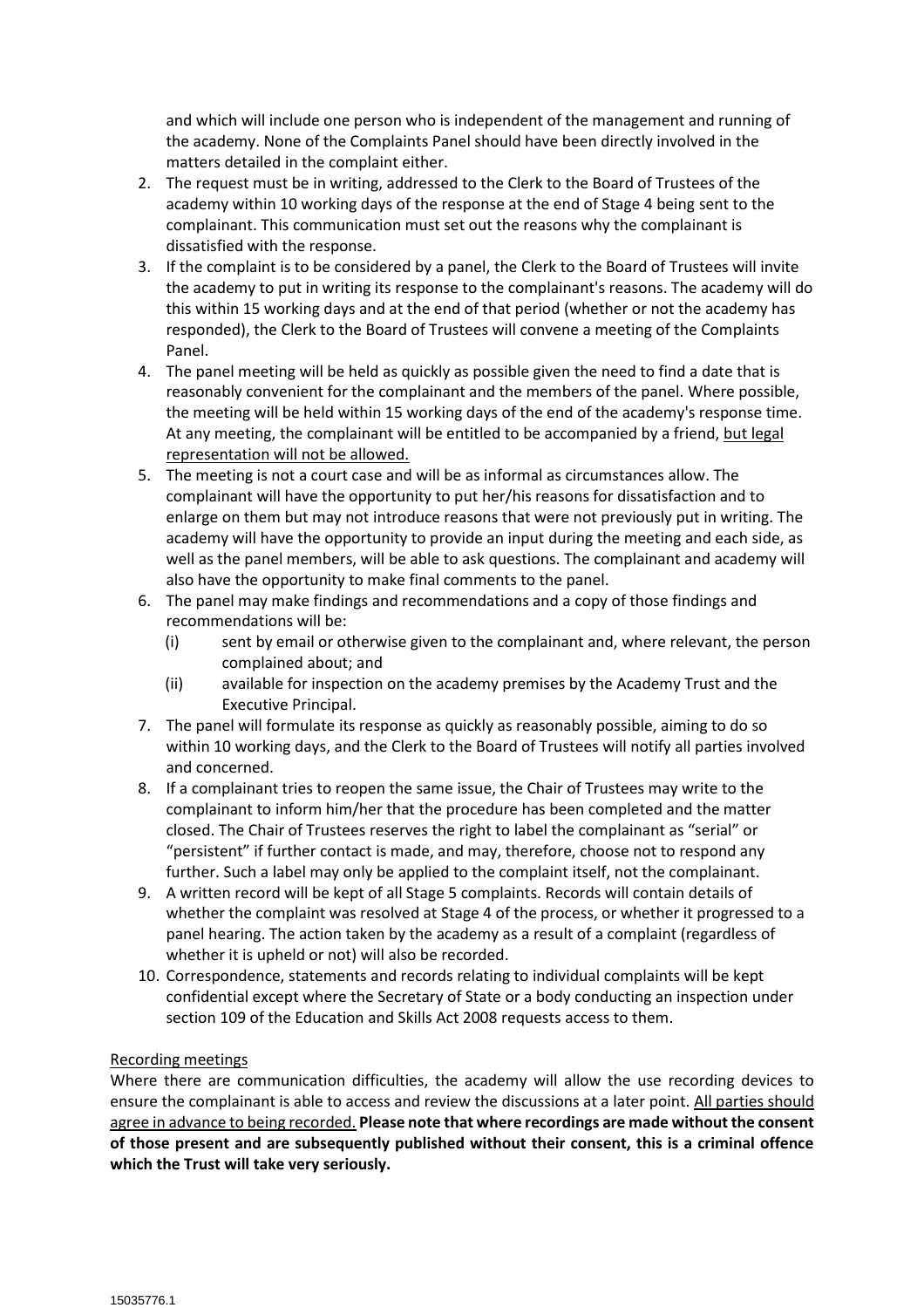and which will include one person who is independent of the management and running of the academy. None of the Complaints Panel should have been directly involved in the matters detailed in the complaint either.

- 2. The request must be in writing, addressed to the Clerk to the Board of Trustees of the academy within 10 working days of the response at the end of Stage 4 being sent to the complainant. This communication must set out the reasons why the complainant is dissatisfied with the response.
- 3. If the complaint is to be considered by a panel, the Clerk to the Board of Trustees will invite the academy to put in writing its response to the complainant's reasons. The academy will do this within 15 working days and at the end of that period (whether or not the academy has responded), the Clerk to the Board of Trustees will convene a meeting of the Complaints Panel.
- 4. The panel meeting will be held as quickly as possible given the need to find a date that is reasonably convenient for the complainant and the members of the panel. Where possible, the meeting will be held within 15 working days of the end of the academy's response time. At any meeting, the complainant will be entitled to be accompanied by a friend, but legal representation will not be allowed.
- 5. The meeting is not a court case and will be as informal as circumstances allow. The complainant will have the opportunity to put her/his reasons for dissatisfaction and to enlarge on them but may not introduce reasons that were not previously put in writing. The academy will have the opportunity to provide an input during the meeting and each side, as well as the panel members, will be able to ask questions. The complainant and academy will also have the opportunity to make final comments to the panel.
- 6. The panel may make findings and recommendations and a copy of those findings and recommendations will be:
	- (i) sent by email or otherwise given to the complainant and, where relevant, the person complained about; and
	- (ii) available for inspection on the academy premises by the Academy Trust and the Executive Principal.
- 7. The panel will formulate its response as quickly as reasonably possible, aiming to do so within 10 working days, and the Clerk to the Board of Trustees will notify all parties involved and concerned.
- 8. If a complainant tries to reopen the same issue, the Chair of Trustees may write to the complainant to inform him/her that the procedure has been completed and the matter closed. The Chair of Trustees reserves the right to label the complainant as "serial" or "persistent" if further contact is made, and may, therefore, choose not to respond any further. Such a label may only be applied to the complaint itself, not the complainant.
- 9. A written record will be kept of all Stage 5 complaints. Records will contain details of whether the complaint was resolved at Stage 4 of the process, or whether it progressed to a panel hearing. The action taken by the academy as a result of a complaint (regardless of whether it is upheld or not) will also be recorded.
- 10. Correspondence, statements and records relating to individual complaints will be kept confidential except where the Secretary of State or a body conducting an inspection under section 109 of the Education and Skills Act 2008 requests access to them.

# Recording meetings

Where there are communication difficulties, the academy will allow the use recording devices to ensure the complainant is able to access and review the discussions at a later point. All parties should agree in advance to being recorded. **Please note that where recordings are made without the consent of those present and are subsequently published without their consent, this is a criminal offence which the Trust will take very seriously.**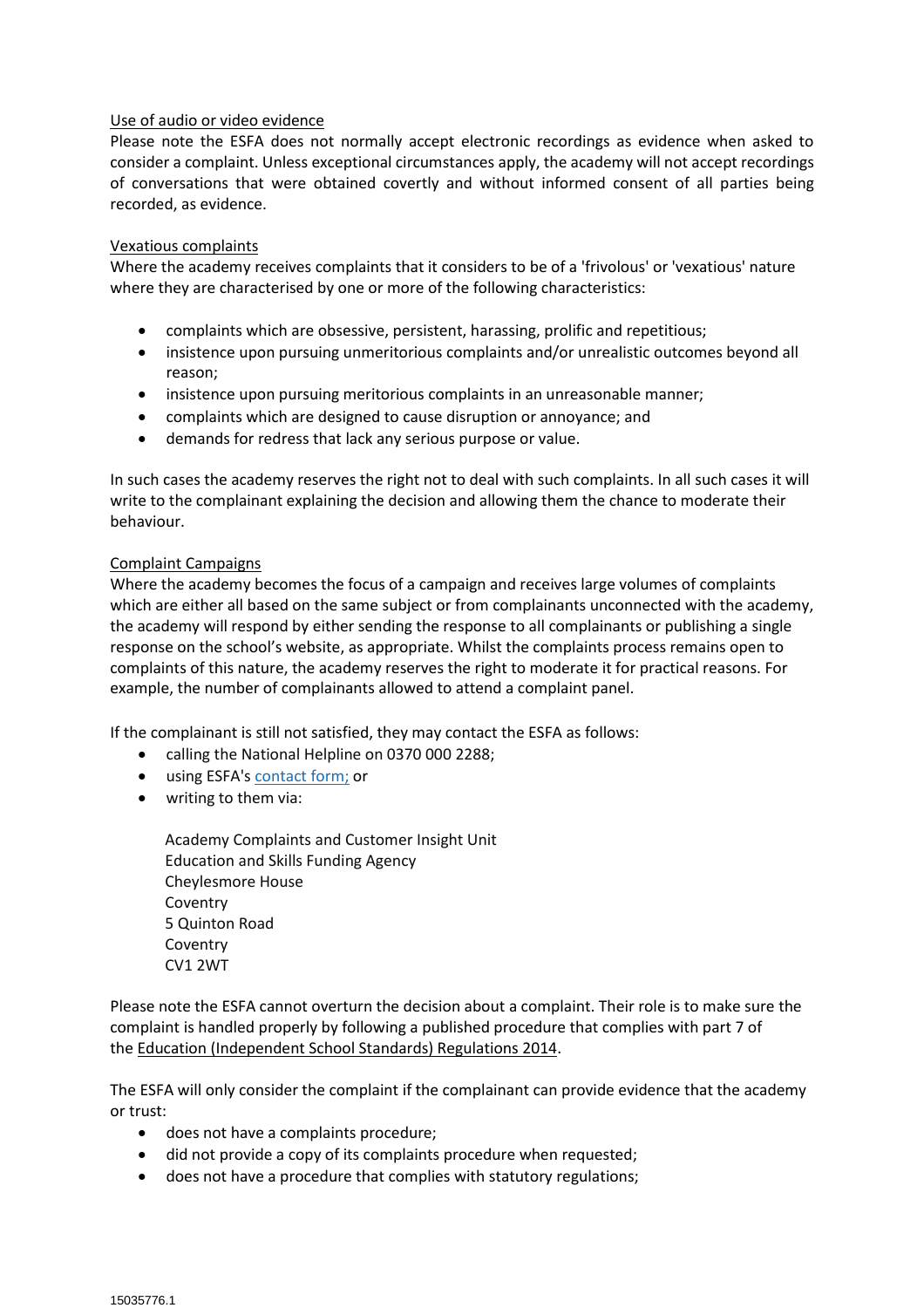### Use of audio or video evidence

Please note the ESFA does not normally accept electronic recordings as evidence when asked to consider a complaint. Unless exceptional circumstances apply, the academy will not accept recordings of conversations that were obtained covertly and without informed consent of all parties being recorded, as evidence.

# Vexatious complaints

Where the academy receives complaints that it considers to be of a 'frivolous' or 'vexatious' nature where they are characterised by one or more of the following characteristics:

- complaints which are obsessive, persistent, harassing, prolific and repetitious;
- insistence upon pursuing unmeritorious complaints and/or unrealistic outcomes beyond all reason;
- insistence upon pursuing meritorious complaints in an unreasonable manner;
- complaints which are designed to cause disruption or annoyance; and
- demands for redress that lack any serious purpose or value.

In such cases the academy reserves the right not to deal with such complaints. In all such cases it will write to the complainant explaining the decision and allowing them the chance to moderate their behaviour.

# Complaint Campaigns

Where the academy becomes the focus of a campaign and receives large volumes of complaints which are either all based on the same subject or from complainants unconnected with the academy, the academy will respond by either sending the response to all complainants or publishing a single response on the school's website, as appropriate. Whilst the complaints process remains open to complaints of this nature, the academy reserves the right to moderate it for practical reasons. For example, the number of complainants allowed to attend a complaint panel.

If the complainant is still not satisfied, they may contact the ESFA as follows:

- calling the National Helpline on 0370 000 2288;
- using ESFA's [contact form;](https://form.education.gov.uk/service/Contact_the_Department_for_Education) or
- writing to them via:

Academy Complaints and Customer Insight Unit Education and Skills Funding Agency Cheylesmore House Coventry 5 Quinton Road Coventry CV1 2WT

Please note the ESFA cannot overturn the decision about a complaint. Their role is to make sure the complaint is handled properly by following a published procedure that complies with part 7 of the [Education \(Independent School Standards\) Regulations 2014.](http://www.legislation.gov.uk/uksi/2014/3283/schedule/made)

The ESFA will only consider the complaint if the complainant can provide evidence that the academy or trust:

- does not have a complaints procedure;
- did not provide a copy of its complaints procedure when requested;
- does not have a procedure that complies with statutory regulations;